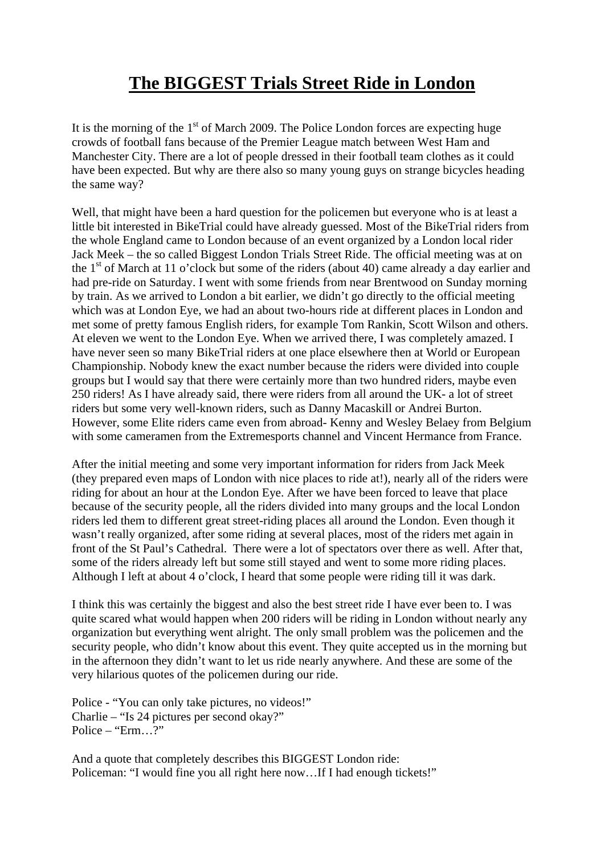## **The BIGGEST Trials Street Ride in London**

It is the morning of the  $1<sup>st</sup>$  of March 2009. The Police London forces are expecting huge crowds of football fans because of the Premier League match between West Ham and Manchester City. There are a lot of people dressed in their football team clothes as it could have been expected. But why are there also so many young guys on strange bicycles heading the same way?

Well, that might have been a hard question for the policemen but everyone who is at least a little bit interested in BikeTrial could have already guessed. Most of the BikeTrial riders from the whole England came to London because of an event organized by a London local rider Jack Meek – the so called Biggest London Trials Street Ride. The official meeting was at on the 1<sup>st</sup> of March at 11 o'clock but some of the riders (about 40) came already a day earlier and had pre-ride on Saturday. I went with some friends from near Brentwood on Sunday morning by train. As we arrived to London a bit earlier, we didn't go directly to the official meeting which was at London Eye, we had an about two-hours ride at different places in London and met some of pretty famous English riders, for example Tom Rankin, Scott Wilson and others. At eleven we went to the London Eye. When we arrived there, I was completely amazed. I have never seen so many BikeTrial riders at one place elsewhere then at World or European Championship. Nobody knew the exact number because the riders were divided into couple groups but I would say that there were certainly more than two hundred riders, maybe even 250 riders! As I have already said, there were riders from all around the UK- a lot of street riders but some very well-known riders, such as Danny Macaskill or Andrei Burton. However, some Elite riders came even from abroad- Kenny and Wesley Belaey from Belgium with some cameramen from the Extremesports channel and Vincent Hermance from France.

After the initial meeting and some very important information for riders from Jack Meek (they prepared even maps of London with nice places to ride at!), nearly all of the riders were riding for about an hour at the London Eye. After we have been forced to leave that place because of the security people, all the riders divided into many groups and the local London riders led them to different great street-riding places all around the London. Even though it wasn't really organized, after some riding at several places, most of the riders met again in front of the St Paul's Cathedral. There were a lot of spectators over there as well. After that, some of the riders already left but some still stayed and went to some more riding places. Although I left at about 4 o'clock, I heard that some people were riding till it was dark.

I think this was certainly the biggest and also the best street ride I have ever been to. I was quite scared what would happen when 200 riders will be riding in London without nearly any organization but everything went alright. The only small problem was the policemen and the security people, who didn't know about this event. They quite accepted us in the morning but in the afternoon they didn't want to let us ride nearly anywhere. And these are some of the very hilarious quotes of the policemen during our ride.

Police - "You can only take pictures, no videos!" Charlie – "Is 24 pictures per second okay?" Police – "Erm...?"

And a quote that completely describes this BIGGEST London ride: Policeman: "I would fine you all right here now…If I had enough tickets!"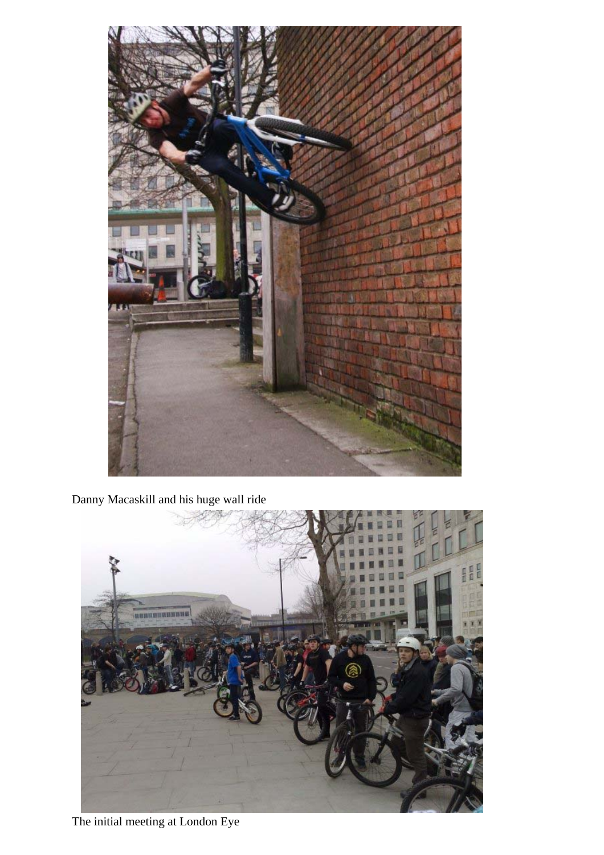

Danny Macaskill and his huge wall ride



The initial meeting at London Eye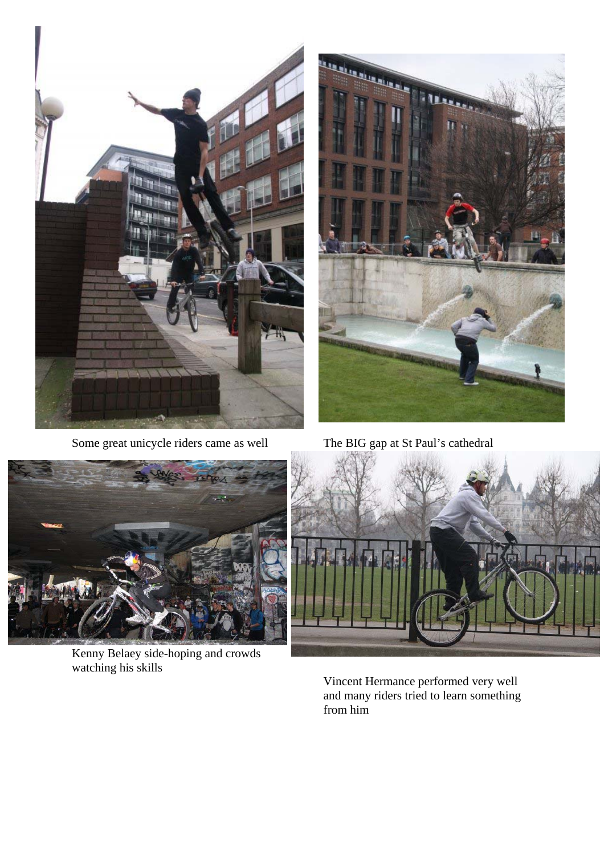

Some great unicycle riders came as well The BIG gap at St Paul's cathedral





Kenny Belaey side-hoping and crowds watching his skills



Vincent Hermance performed very well and many riders tried to learn something from him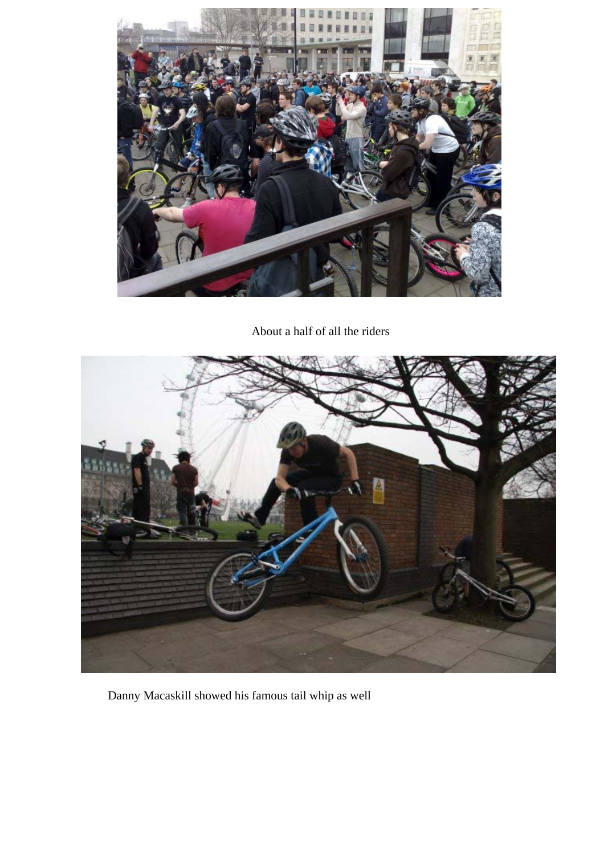

About a half of all the riders



Danny Macaskill showed his famous tail whip as well